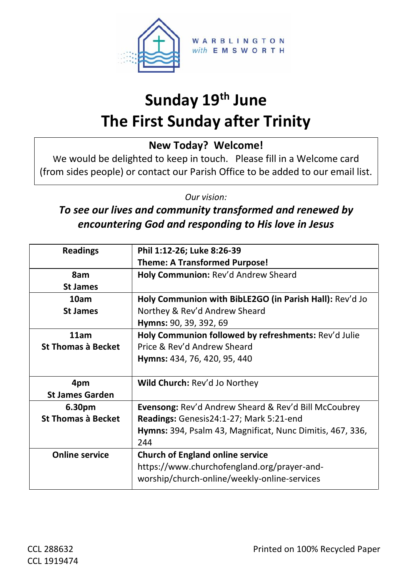

# **Sunday 19th June The First Sunday after Trinity**

**New Today? Welcome!**

We would be delighted to keep in touch. Please fill in a Welcome card (from sides people) or contact our Parish Office to be added to our email list.

*Our vision:*

#### *To see our lives and community transformed and renewed by encountering God and responding to His love in Jesus*

| <b>Readings</b>           | Phil 1:12-26; Luke 8:26-39                                       |  |  |  |  |
|---------------------------|------------------------------------------------------------------|--|--|--|--|
|                           | <b>Theme: A Transformed Purpose!</b>                             |  |  |  |  |
| 8am                       | Holy Communion: Rev'd Andrew Sheard                              |  |  |  |  |
| <b>St James</b>           |                                                                  |  |  |  |  |
| 10am                      | Holy Communion with BibLE2GO (in Parish Hall): Rev'd Jo          |  |  |  |  |
| <b>St James</b>           | Northey & Rev'd Andrew Sheard                                    |  |  |  |  |
|                           | Hymns: 90, 39, 392, 69                                           |  |  |  |  |
| 11am                      | Holy Communion followed by refreshments: Rev'd Julie             |  |  |  |  |
| <b>St Thomas à Becket</b> | Price & Rev'd Andrew Sheard                                      |  |  |  |  |
|                           | Hymns: 434, 76, 420, 95, 440                                     |  |  |  |  |
|                           |                                                                  |  |  |  |  |
|                           |                                                                  |  |  |  |  |
| 4pm                       | Wild Church: Rev'd Jo Northey                                    |  |  |  |  |
| <b>St James Garden</b>    |                                                                  |  |  |  |  |
| 6.30pm                    | <b>Evensong:</b> Rev'd Andrew Sheard & Rev'd Bill McCoubrey      |  |  |  |  |
| <b>St Thomas à Becket</b> | Readings: Genesis24:1-27; Mark 5:21-end                          |  |  |  |  |
|                           | <b>Hymns:</b> 394, Psalm 43, Magnificat, Nunc Dimitis, 467, 336, |  |  |  |  |
|                           | 244                                                              |  |  |  |  |
| <b>Online service</b>     | <b>Church of England online service</b>                          |  |  |  |  |
|                           | https://www.churchofengland.org/prayer-and-                      |  |  |  |  |
|                           | worship/church-online/weekly-online-services                     |  |  |  |  |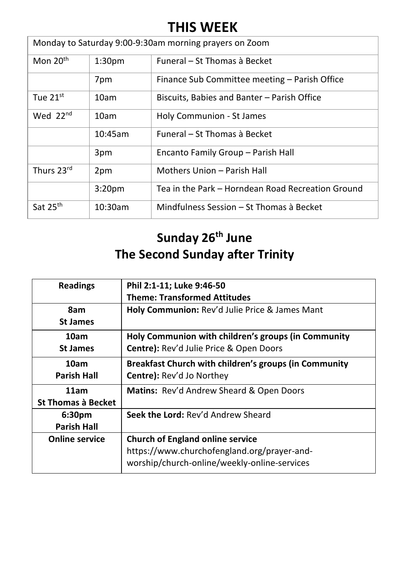### **THIS WEEK**

| Monday to Saturday 9:00-9:30am morning prayers on Zoom |                    |                                                   |  |  |  |
|--------------------------------------------------------|--------------------|---------------------------------------------------|--|--|--|
| Mon $20th$                                             | 1:30 <sub>pm</sub> | Funeral – St Thomas à Becket                      |  |  |  |
|                                                        | 7pm                | Finance Sub Committee meeting – Parish Office     |  |  |  |
| Tue $21^{st}$                                          | 10am               | Biscuits, Babies and Banter – Parish Office       |  |  |  |
| Wed 22 <sup>nd</sup>                                   | 10am               | Holy Communion - St James                         |  |  |  |
|                                                        | 10:45am            | Funeral – St Thomas à Becket                      |  |  |  |
|                                                        | 3pm                | Encanto Family Group - Parish Hall                |  |  |  |
| Thurs 23rd                                             | 2pm                | Mothers Union - Parish Hall                       |  |  |  |
|                                                        | 3:20 <sub>pm</sub> | Tea in the Park - Horndean Road Recreation Ground |  |  |  |
| Sat 25 <sup>th</sup>                                   | 10:30am            | Mindfulness Session – St Thomas à Becket          |  |  |  |

## **Sunday 26th June The Second Sunday after Trinity**

| <b>Readings</b>                   | Phil 2:1-11; Luke 9:46-50<br><b>Theme: Transformed Attitudes</b>                                                                       |  |  |  |
|-----------------------------------|----------------------------------------------------------------------------------------------------------------------------------------|--|--|--|
| 8am<br><b>St James</b>            | Holy Communion: Rev'd Julie Price & James Mant                                                                                         |  |  |  |
| 10am<br><b>St James</b>           | Holy Communion with children's groups (in Community<br>Centre): Rev'd Julie Price & Open Doors                                         |  |  |  |
| 10am<br><b>Parish Hall</b>        | Breakfast Church with children's groups (in Community<br><b>Centre:</b> Rev'd Jo Northey                                               |  |  |  |
| 11am<br><b>St Thomas à Becket</b> | Matins: Rev'd Andrew Sheard & Open Doors                                                                                               |  |  |  |
| 6:30pm<br><b>Parish Hall</b>      | Seek the Lord: Rev'd Andrew Sheard                                                                                                     |  |  |  |
| <b>Online service</b>             | <b>Church of England online service</b><br>https://www.churchofengland.org/prayer-and-<br>worship/church-online/weekly-online-services |  |  |  |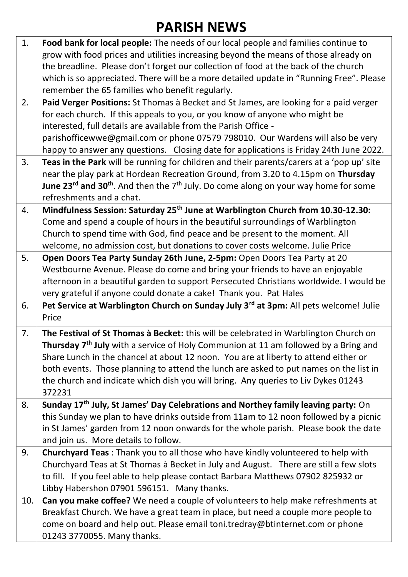# **PARISH NEWS**

| 1.  | Food bank for local people: The needs of our local people and families continue to                            |
|-----|---------------------------------------------------------------------------------------------------------------|
|     | grow with food prices and utilities increasing beyond the means of those already on                           |
|     | the breadline. Please don't forget our collection of food at the back of the church                           |
|     | which is so appreciated. There will be a more detailed update in "Running Free". Please                       |
|     | remember the 65 families who benefit regularly.                                                               |
| 2.  | Paid Verger Positions: St Thomas à Becket and St James, are looking for a paid verger                         |
|     | for each church. If this appeals to you, or you know of anyone who might be                                   |
|     | interested, full details are available from the Parish Office -                                               |
|     | parishofficewwe@gmail.com or phone 07579 798010. Our Wardens will also be very                                |
|     | happy to answer any questions. Closing date for applications is Friday 24th June 2022.                        |
| 3.  | Teas in the Park will be running for children and their parents/carers at a 'pop up' site                     |
|     | near the play park at Hordean Recreation Ground, from 3.20 to 4.15pm on Thursday                              |
|     | June 23 <sup>rd</sup> and 30 <sup>th</sup> . And then the $7th$ July. Do come along on your way home for some |
|     | refreshments and a chat.                                                                                      |
| 4.  | Mindfulness Session: Saturday 25 <sup>th</sup> June at Warblington Church from 10.30-12.30:                   |
|     | Come and spend a couple of hours in the beautiful surroundings of Warblington                                 |
|     | Church to spend time with God, find peace and be present to the moment. All                                   |
|     | welcome, no admission cost, but donations to cover costs welcome. Julie Price                                 |
| 5.  | Open Doors Tea Party Sunday 26th June, 2-5pm: Open Doors Tea Party at 20                                      |
|     | Westbourne Avenue. Please do come and bring your friends to have an enjoyable                                 |
|     | afternoon in a beautiful garden to support Persecuted Christians worldwide. I would be                        |
|     |                                                                                                               |
|     | very grateful if anyone could donate a cake! Thank you. Pat Hales                                             |
| 6.  | Pet Service at Warblington Church on Sunday July 3rd at 3pm: All pets welcome! Julie                          |
|     | Price                                                                                                         |
|     |                                                                                                               |
| 7.  | The Festival of St Thomas à Becket: this will be celebrated in Warblington Church on                          |
|     | Thursday 7 <sup>th</sup> July with a service of Holy Communion at 11 am followed by a Bring and               |
|     | Share Lunch in the chancel at about 12 noon. You are at liberty to attend either or                           |
|     | both events. Those planning to attend the lunch are asked to put names on the list in                         |
|     | the church and indicate which dish you will bring. Any queries to Liv Dykes 01243<br>372231                   |
| 8.  | Sunday 17 <sup>th</sup> July, St James' Day Celebrations and Northey family leaving party: On                 |
|     | this Sunday we plan to have drinks outside from 11am to 12 noon followed by a picnic                          |
|     | in St James' garden from 12 noon onwards for the whole parish. Please book the date                           |
|     | and join us. More details to follow.                                                                          |
| 9.  | Churchyard Teas: Thank you to all those who have kindly volunteered to help with                              |
|     | Churchyard Teas at St Thomas à Becket in July and August. There are still a few slots                         |
|     | to fill. If you feel able to help please contact Barbara Matthews 07902 825932 or                             |
|     | Libby Habershon 07901 596151. Many thanks.                                                                    |
| 10. | Can you make coffee? We need a couple of volunteers to help make refreshments at                              |
|     | Breakfast Church. We have a great team in place, but need a couple more people to                             |
|     | come on board and help out. Please email toni.tredray@btinternet.com or phone                                 |